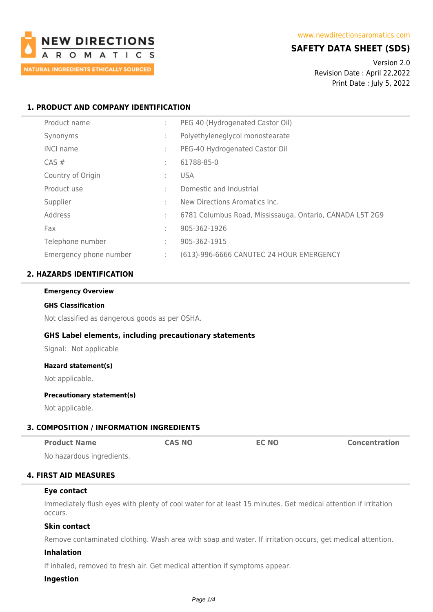

# **SAFETY DATA SHEET (SDS)**

Version 2.0 Revision Date : April 22,2022 Print Date : July 5, 2022

# **1. PRODUCT AND COMPANY IDENTIFICATION**

| Product name           | ÷ | PEG 40 (Hydrogenated Castor Oil)                         |
|------------------------|---|----------------------------------------------------------|
| Synonyms               | ÷ | Polyethyleneglycol monostearate                          |
| <b>INCI name</b>       | ÷ | PEG-40 Hydrogenated Castor Oil                           |
| $CAS \#$               | ÷ | 61788-85-0                                               |
| Country of Origin      | ÷ | <b>USA</b>                                               |
| Product use            | ÷ | Domestic and Industrial                                  |
| Supplier               | ÷ | New Directions Aromatics Inc.                            |
| Address                | ÷ | 6781 Columbus Road, Mississauga, Ontario, CANADA L5T 2G9 |
| Fax                    | ÷ | 905-362-1926                                             |
| Telephone number       | ÷ | 905-362-1915                                             |
| Emergency phone number | ÷ | (613)-996-6666 CANUTEC 24 HOUR EMERGENCY                 |

# **2. HAZARDS IDENTIFICATION**

#### **Emergency Overview**

#### **GHS Classification**

Not classified as dangerous goods as per OSHA.

### **GHS Label elements, including precautionary statements**

Signal: Not applicable

#### **Hazard statement(s)**

Not applicable.

#### **Precautionary statement(s)**

Not applicable.

# **3. COMPOSITION / INFORMATION INGREDIENTS**

| <b>Product Name</b>      | <b>CAS NO</b> | <b>EC NO</b> | <b>Concentration</b> |
|--------------------------|---------------|--------------|----------------------|
| No hazardous ingrodionts |               |              |                      |

No hazardous ingredients.

# **4. FIRST AID MEASURES**

#### **Eye contact**

Immediately flush eyes with plenty of cool water for at least 15 minutes. Get medical attention if irritation occurs.

#### **Skin contact**

Remove contaminated clothing. Wash area with soap and water. If irritation occurs, get medical attention.

### **Inhalation**

If inhaled, removed to fresh air. Get medical attention if symptoms appear.

### **Ingestion**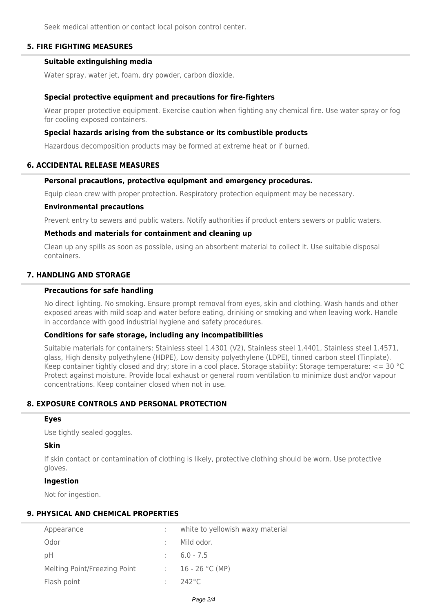Seek medical attention or contact local poison control center.

## **5. FIRE FIGHTING MEASURES**

### **Suitable extinguishing media**

Water spray, water jet, foam, dry powder, carbon dioxide.

#### **Special protective equipment and precautions for fire-fighters**

Wear proper protective equipment. Exercise caution when fighting any chemical fire. Use water spray or fog for cooling exposed containers.

#### **Special hazards arising from the substance or its combustible products**

Hazardous decomposition products may be formed at extreme heat or if burned.

### **6. ACCIDENTAL RELEASE MEASURES**

## **Personal precautions, protective equipment and emergency procedures.**

Equip clean crew with proper protection. Respiratory protection equipment may be necessary.

#### **Environmental precautions**

Prevent entry to sewers and public waters. Notify authorities if product enters sewers or public waters.

### **Methods and materials for containment and cleaning up**

Clean up any spills as soon as possible, using an absorbent material to collect it. Use suitable disposal containers.

# **7. HANDLING AND STORAGE**

#### **Precautions for safe handling**

No direct lighting. No smoking. Ensure prompt removal from eyes, skin and clothing. Wash hands and other exposed areas with mild soap and water before eating, drinking or smoking and when leaving work. Handle in accordance with good industrial hygiene and safety procedures.

### **Conditions for safe storage, including any incompatibilities**

Suitable materials for containers: Stainless steel 1.4301 (V2), Stainless steel 1.4401, Stainless steel 1.4571, glass, High density polyethylene (HDPE), Low density polyethylene (LDPE), tinned carbon steel (Tinplate). Keep container tightly closed and dry; store in a cool place. Storage stability: Storage temperature: <= 30 °C Protect against moisture. Provide local exhaust or general room ventilation to minimize dust and/or vapour concentrations. Keep container closed when not in use.

## **8. EXPOSURE CONTROLS AND PERSONAL PROTECTION**

# **Eyes**

Use tightly sealed goggles.

### **Skin**

If skin contact or contamination of clothing is likely, protective clothing should be worn. Use protective gloves.

### **Ingestion**

Not for ingestion.

# **9. PHYSICAL AND CHEMICAL PROPERTIES**

| Appearance                   | white to yellowish waxy material |
|------------------------------|----------------------------------|
| Odor                         | Mild odor.                       |
| рH                           | $\therefore$ 6.0 - 7.5           |
| Melting Point/Freezing Point | : $16 - 26 \degree C$ (MP)       |
| Flash point                  | $242^{\circ}$ C                  |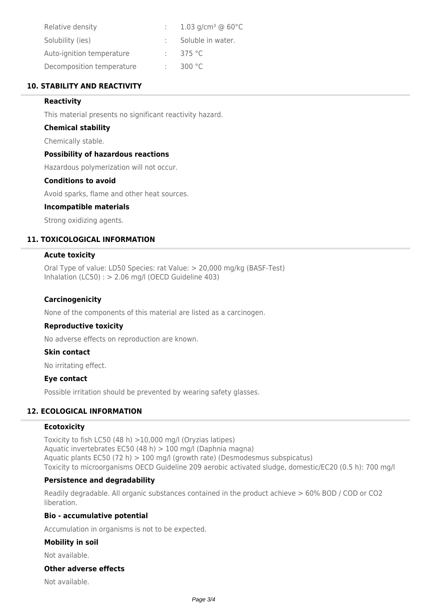| Relative density          | 1.03 g/cm <sup>3</sup> @ 60 $^{\circ}$ C |
|---------------------------|------------------------------------------|
| Solubility (ies)          | Soluble in water.                        |
| Auto-ignition temperature | 375 $\degree$ C                          |
| Decomposition temperature | 300 °C                                   |

# **10. STABILITY AND REACTIVITY**

## **Reactivity**

This material presents no significant reactivity hazard.

### **Chemical stability**

Chemically stable.

## **Possibility of hazardous reactions**

Hazardous polymerization will not occur.

# **Conditions to avoid**

Avoid sparks, flame and other heat sources.

### **Incompatible materials**

Strong oxidizing agents.

# **11. TOXICOLOGICAL INFORMATION**

### **Acute toxicity**

Oral Type of value: LD50 Species: rat Value: > 20,000 mg/kg (BASF-Test) Inhalation (LC50) : > 2.06 mg/l (OECD Guideline 403)

## **Carcinogenicity**

None of the components of this material are listed as a carcinogen.

### **Reproductive toxicity**

No adverse effects on reproduction are known.

### **Skin contact**

No irritating effect.

## **Eye contact**

Possible irritation should be prevented by wearing safety glasses.

# **12. ECOLOGICAL INFORMATION**

## **Ecotoxicity**

Toxicity to fish LC50 (48 h) >10,000 mg/l (Oryzias latipes) Aquatic invertebrates EC50 (48 h) > 100 mg/l (Daphnia magna) Aquatic plants EC50 (72 h) > 100 mg/l (growth rate) (Desmodesmus subspicatus) Toxicity to microorganisms OECD Guideline 209 aerobic activated sludge, domestic/EC20 (0.5 h): 700 mg/l

### **Persistence and degradability**

Readily degradable. All organic substances contained in the product achieve > 60% BOD / COD or CO2 liberation.

### **Bio - accumulative potential**

Accumulation in organisms is not to be expected.

### **Mobility in soil**

Not available.

# **Other adverse effects**

Not available.